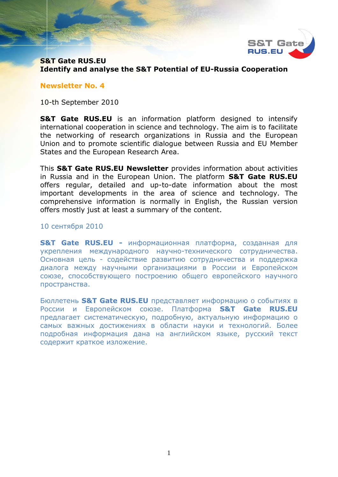

# **S&T Gate RUS.EU Identify and analyse the S&T Potential of EU-Russia Cooperation**

#### **Newsletter No. 4**

10-th September 2010

**S&T Gate RUS.EU** is an information platform designed to intensify international cooperation in science and technology. The aim is to facilitate the networking of research organizations in Russia and the European Union and to promote scientific dialogue between Russia and EU Member States and the European Research Area.

This **S&T Gate RUS.EU Newsletter** provides information about activities in Russia and in the European Union. The platform **S&T Gate RUS.EU** offers regular, detailed and up-to-date information about the most important developments in the area of science and technology. The comprehensive information is normally in English, the Russian version offers mostly just at least a summary of the content.

#### 10 сентября 2010

**S&T Gate RUS.EU -** информационная платформа, созданная для укрепления международного научно-технического сотрудничества. Основная цель - содействие развитию сотрудничества и поддержка диалога между научными организациями в России и Европейском союзе, способствующего построению общего европейского научного пространства.

Бюллетень **S&T Gate RUS.EU** представляет информацию о событиях в России и Европейском союзе. Платформа **S&T Gate RUS.EU** предлагает систематическую, подробную, актуальную информацию о самых важных достижениях в области науки и технологий. Более подробная информация дана на английском языке, русский текст содержит краткое изложение.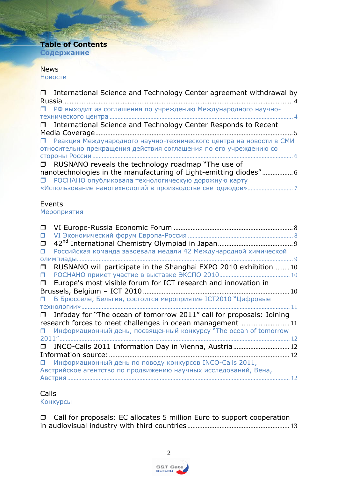# **Table of Contents Содержание**

### **[News](#page-3-0)** [Новости](#page-3-1)

| $\Box$ | International Science and Technology Center agreement withdrawal by  |
|--------|----------------------------------------------------------------------|
|        |                                                                      |
|        |                                                                      |
|        |                                                                      |
| $\Box$ | International Science and Technology Center Responds to Recent       |
|        |                                                                      |
| Ω.     | Реакция Международного научно-технического центра на новости в СМИ   |
|        | относительно прекращения действия соглашения по его учреждению со    |
|        |                                                                      |
| $\Box$ | RUSNANO reveals the technology roadmap "The use of                   |
|        | nanotechnologies in the manufacturing of Light-emitting diodes" 6    |
|        | П РОСНАНО опубликовала технологическую дорожную карту                |
|        |                                                                      |
|        |                                                                      |
|        | Events                                                               |
|        | Мероприятия                                                          |
| $\Box$ |                                                                      |
| $\Box$ |                                                                      |
| $\Box$ |                                                                      |
| $\Box$ | Российская команда завоевала медали 42 Международной химической      |
|        | <b>ОЛИМПИАДЫ</b>                                                     |
| 0      | RUSNANO will participate in the Shanghai EXPO 2010 exhibition  10    |
| $\Box$ |                                                                      |
| $\Box$ | Europe's most visible forum for ICT research and innovation in       |
|        |                                                                      |
| $\Box$ | В Брюсселе, Бельгия, состоится мероприятие ICT2010 "Цифровые         |
|        |                                                                      |
| $\Box$ | Infoday for "The ocean of tomorrow 2011" call for proposals: Joining |
|        | research forces to meet challenges in ocean management  11           |
| $\Box$ | Информационный день, посвященный конкурсу "The ocean of tomorrow     |
| 2011'' | 12 <sup>°</sup>                                                      |

| □ INCO-Calls 2011 Information Day in Vienna, Austria 12          |  |
|------------------------------------------------------------------|--|
|                                                                  |  |
| П Информационный день по поводу конкурсов INCO-Calls 2011,       |  |
| Австрийское агентство по продвижению научных исследований, Вена, |  |
|                                                                  |  |

## [Calls](#page-12-0)

[Конкурсы](#page-12-1)

 [Call for proposals: EC allocates 5 million Euro to support cooperation](#page-12-2)  [in audiovisual industry with third countries](#page-12-2) ............................................................ 13

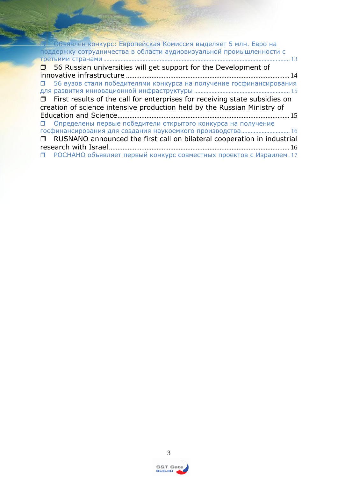| <b>В Велия в Геропейская Комиссия выделяет 5 млн. Евро на</b>                     |
|-----------------------------------------------------------------------------------|
| поддержку сотрудничества в области аудиовизуальной промышленности с               |
|                                                                                   |
| $\Box$ 56 Russian universities will get support for the Development of            |
|                                                                                   |
| 56 вузов стали победителями конкурса на получение госфинансирования<br>п.         |
|                                                                                   |
| $\Box$ First results of the call for enterprises for receiving state subsidies on |
| creation of science intensive production held by the Russian Ministry of          |
|                                                                                   |
| П Определены первые победители открытого конкурса на получение                    |
| госфинансирования для создания наукоемкого производства 16                        |
| RUSNANO announced the first call on bilateral cooperation in industrial           |
|                                                                                   |
| РОСНАНО объявляет первый конкурс совместных проектов с Израилем. 17<br>п.         |

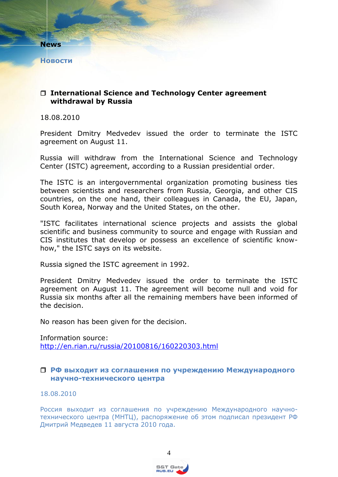<span id="page-3-0"></span>**News**

<span id="page-3-1"></span>**Новости**

## <span id="page-3-2"></span> **International Science and Technology Center agreement withdrawal by Russia**

18.08.2010

President Dmitry Medvedev issued the order to terminate the ISTC agreement on August 11.

Russia will withdraw from the International Science and Technology Center (ISTC) agreement, according to a Russian presidential order.

The ISTC is an intergovernmental organization promoting business ties between scientists and researchers from Russia, Georgia, and other CIS countries, on the one hand, their colleagues in Canada, the EU, Japan, South Korea, Norway and the United States, on the other.

"ISTC facilitates international science projects and assists the global scientific and business community to source and engage with Russian and CIS institutes that develop or possess an excellence of scientific knowhow," the ISTC says on its website.

Russia signed the ISTC agreement in 1992.

President Dmitry Medvedev issued the order to terminate the ISTC agreement on August 11. The agreement will become null and void for Russia six months after all the remaining members have been informed of the decision.

No reason has been given for the decision.

Information source: <http://en.rian.ru/russia/20100816/160220303.html>

## <span id="page-3-3"></span> **РФ выходит из соглашения по учреждению Международного научно-технического центра**

18.08.2010

Россия выходит из соглашения по учреждению Международного научнотехнического центра (МНТЦ), распоряжение об этом подписал президент РФ Дмитрий Медведев 11 августа 2010 года.

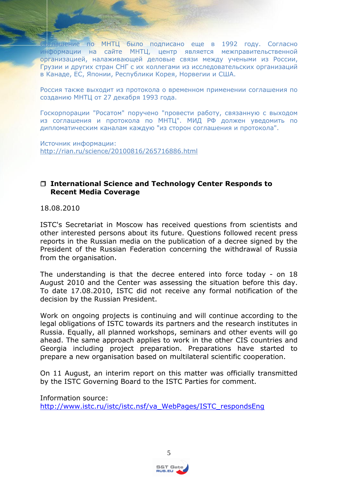глашение по МНТЦ было подписано еще в 1992 году. Согласно информации на сайте МНТЦ, центр является межправительственной организацией, налаживающей деловые связи между учеными из России, Грузии и других стран СНГ с их коллегами из исследовательских организаций в Канаде, ЕС, Японии, Республики Корея, Норвегии и США.

Россия также выходит из протокола о временном применении соглашения по созданию МНТЦ от 27 декабря 1993 года.

Госкорпорации "Росатом" поручено "провести работу, связанную с выходом из соглашения и протокола по МНТЦ". МИД РФ должен уведомить по дипломатическим каналам каждую "из сторон соглашения и протокола".

Источник информации: <http://rian.ru/science/20100816/265716886.html>

## <span id="page-4-0"></span> **International Science and Technology Center Responds to Recent Media Coverage**

18.08.2010

ISTC's Secretariat in Moscow has received questions from scientists and other interested persons about its future. Questions followed recent press reports in the Russian media on the publication of a decree signed by the President of the Russian Federation concerning the withdrawal of Russia from the organisation.

The understanding is that the decree entered into force today - on 18 August 2010 and the Center was assessing the situation before this day. To date 17.08.2010, ISTC did not receive any formal notification of the decision by the Russian President.

Work on ongoing projects is continuing and will continue according to the legal obligations of ISTC towards its partners and the research institutes in Russia. Equally, all planned workshops, seminars and other events will go ahead. The same approach applies to work in the other CIS countries and Georgia including project preparation. Preparations have started to prepare a new organisation based on multilateral scientific cooperation.

On 11 August, an interim report on this matter was officially transmitted by the ISTC Governing Board to the ISTC Parties for comment.

Information source: [http://www.istc.ru/istc/istc.nsf/va\\_WebPages/ISTC\\_respondsEng](http://www.istc.ru/istc/istc.nsf/va_WebPages/ISTC_respondsEng)



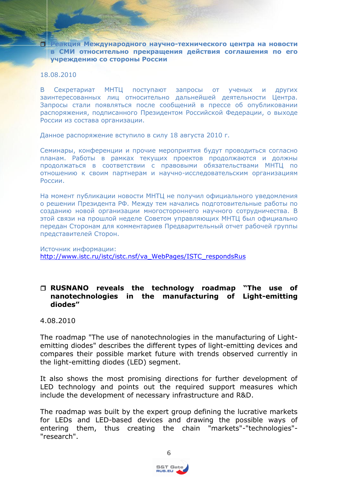<span id="page-5-0"></span> **Реакция Международного научно-технического центра на новости в СМИ относительно прекращения действия соглашения по его учреждению со стороны России**

#### 18.08.2010

В Секретариат МНТЦ поступают запросы от ученых и других заинтересованных лиц относительно дальнейшей деятельности Центра. Запросы стали появляться после сообщений в прессе об опубликовании распоряжения, подписанного Президентом Российской Федерации, о выходе России из состава организации.

Данное распоряжение вступило в силу 18 августа 2010 г.

Семинары, конференции и прочие мероприятия будут проводиться согласно планам. Работы в рамках текущих проектов продолжаются и должны продолжаться в соответствии с правовыми обязательствами МНТЦ по отношению к своим партнерам и научно-исследовательским организациям России.

На момент публикации новости МНТЦ не получил официального уведомления о решении Президента РФ. Между тем начались подготовительные работы по созданию новой организации многостороннего научного сотрудничества. В этой связи на прошлой неделе Советом управляющих МНТЦ был официально передан Сторонам для комментариев Предварительный отчет рабочей группы представителей Сторон.

Источник информации: [http://www.istc.ru/istc/istc.nsf/va\\_WebPages/ISTC\\_respondsRus](http://www.istc.ru/istc/istc.nsf/va_WebPages/ISTC_respondsRus)

## <span id="page-5-1"></span> **RUSNANO reveals the technology roadmap "The use of nanotechnologies in the manufacturing of Light-emitting diodes"**

### 4.08.2010

The roadmap "The use of nanotechnologies in the manufacturing of Lightemitting diodes" describes the different types of light-emitting devices and compares their possible market future with trends observed currently in the light-emitting diodes (LED) segment.

It also shows the most promising directions for further development of LED technology and points out the required support measures which include the development of necessary infrastructure and R&D.

The roadmap was built by the expert group defining the lucrative markets for LEDs and LED-based devices and drawing the possible ways of entering them, thus creating the chain "markets"-"technologies"- "research".

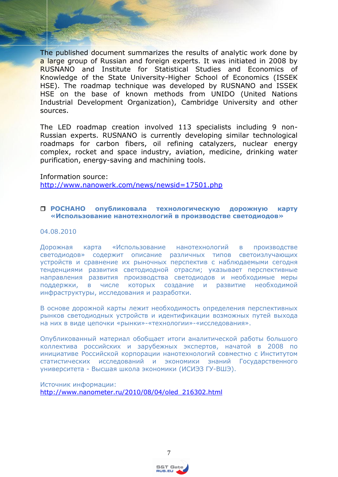The published document summarizes the results of analytic work done by a large group of Russian and foreign experts. It was initiated in 2008 by RUSNANO and Institute for Statistical Studies and Economics of Knowledge of the State University-Higher School of Economics (ISSEK HSE). The roadmap technique was developed by RUSNANO and ISSEK HSE on the base of known methods from UNIDO (United Nations Industrial Development Organization), Cambridge University and other sources.

The LED roadmap creation involved 113 specialists including 9 non-Russian experts. RUSNANO is currently developing similar technological roadmaps for carbon fibers, oil refining catalyzers, nuclear energy complex, rocket and space industry, aviation, medicine, drinking water purification, energy-saving and machining tools.

#### Information source:

<http://www.nanowerk.com/news/newsid=17501.php>

### <span id="page-6-0"></span> **РОСНАНО опубликовала технологическую дорожную карту «Использование нанотехнологий в производстве светодиодов»**

#### 04.08.2010

Дорожная карта «Использование нанотехнологий в производстве светодиодов» содержит описание различных типов светоизлучающих устройств и сравнение их рыночных перспектив с наблюдаемыми сегодня тенденциями развития светодиодной отрасли; указывает перспективные направления развития производства светодиодов и необходимые меры поддержки, в числе которых создание и развитие необходимой инфраструктуры, исследования и разработки.

В основе дорожной карты лежит необходимость определения перспективных рынков светодиодных устройств и идентификации возможных путей выхода на них в виде цепочки «рынки»-«технологии»-«исследования».

Опубликованный материал обобщает итоги аналитической работы большого коллектива российских и зарубежных экспертов, начатой в 2008 по инициативе Российской корпорации нанотехнологий совместно с Институтом статистических исследований и экономики знаний Государственного университета - Высшая школа экономики (ИСИЭЗ ГУ-ВШЭ).

Источник информации: [http://www.nanometer.ru/2010/08/04/oled\\_216302.html](http://www.nanometer.ru/2010/08/04/oled_216302.html)

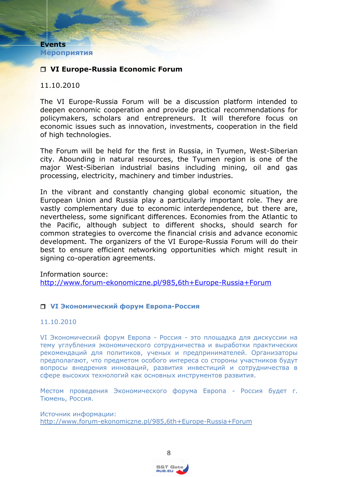<span id="page-7-1"></span><span id="page-7-0"></span>**Events Мероприятия**

# <span id="page-7-2"></span>**VI Europe-Russia Economic Forum**

## 11.10.2010

The VI Europe-Russia Forum will be a discussion platform intended to deepen economic cooperation and provide practical recommendations for policymakers, scholars and entrepreneurs. It will therefore focus on economic issues such as innovation, investments, cooperation in the field of high technologies.

The Forum will be held for the first in Russia, in Tyumen, West-Siberian city. Abounding in natural resources, the Tyumen region is one of the major West-Siberian industrial basins including mining, oil and gas processing, electricity, machinery and timber industries.

In the vibrant and constantly changing global economic situation, the European Union and Russia play a particularly important role. They are vastly complementary due to economic interdependence, but there are, nevertheless, some significant differences. Economies from the Atlantic to the Pacific, although subject to different shocks, should search for common strategies to overcome the financial crisis and advance economic development. The organizers of the VI Europe-Russia Forum will do their best to ensure efficient networking opportunities which might result in signing co-operation agreements.

Information source:

<http://www.forum-ekonomiczne.pl/985,6th+Europe-Russia+Forum>

### <span id="page-7-3"></span>**VI Экономический форум Европа-Россия**

#### 11.10.2010

VI Экономический форум Европа - Россия - это площадка для дискуссии на тему углубления экономического сотрудничества и выработки практических рекомендаций для политиков, ученых и предпринимателей. Организаторы предполагают, что предметом особого интереса со стороны участников будут вопросы внедрения инноваций, развития инвестиций и сотрудничества в сфере высоких технологий как основных инструментов развития.

Местом проведения Экономического форума Европа - Россия будет г. Тюмень, Россия.

Источник информации: <http://www.forum-ekonomiczne.pl/985,6th+Europe-Russia+Forum>

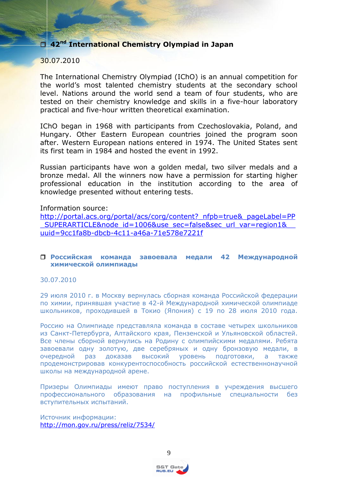<span id="page-8-0"></span>**42nd International Chemistry Olympiad in Japan**

## 30.07.2010

The International Chemistry Olympiad (IChO) is an annual competition for the world's most talented chemistry students at the secondary school level. Nations around the world send a team of four students, who are tested on their chemistry knowledge and skills in a five-hour laboratory practical and five-hour written theoretical examination.

IChO began in 1968 with participants from Czechoslovakia, Poland, and Hungary. Other Eastern European countries joined the program soon after. Western European nations entered in 1974. The United States sent its first team in 1984 and hosted the event in 1992.

Russian participants have won a golden medal, two silver medals and a bronze medal. All the winners now have a permission for starting higher professional education in the institution according to the area of knowledge presented without entering tests.

Information source:

[http://portal.acs.org/portal/acs/corg/content?\\_nfpb=true&\\_pageLabel=PP](http://portal.acs.org/portal/acs/corg/content?_nfpb=true&_pageLabel=PP_SUPERARTICLE&node_id=1006&use_sec=false&sec_url_var=region1&__uuid=9cc1fa8b-dbcb-4c11-a46a-71e578e7221f) SUPERARTICLE&node\_id=1006&use\_sec=false&sec\_url\_var=region1& [uuid=9cc1fa8b-dbcb-4c11-a46a-71e578e7221f](http://portal.acs.org/portal/acs/corg/content?_nfpb=true&_pageLabel=PP_SUPERARTICLE&node_id=1006&use_sec=false&sec_url_var=region1&__uuid=9cc1fa8b-dbcb-4c11-a46a-71e578e7221f)

### <span id="page-8-1"></span> **Российская команда завоевала медали 42 Международной химической олимпиады**

30.07.2010

29 июля 2010 г. в Москву вернулась сборная команда Российской федерации по химии, принявшая участие в 42-й Международной химической олимпиаде школьников, проходившей в Токио (Япония) с 19 по 28 июля 2010 года.

Россию на Олимпиаде представляла команда в составе четырех школьников из Санкт-Петербурга, Алтайского края, Пензенской и Ульяновской областей. Все члены сборной вернулись на Родину с олимпийскими медалями. Ребята завоевали одну золотую, две серебряных и одну бронзовую медали, в очередной раз доказав высокий уровень подготовки, а также продемонстрировав конкурентоспособность российской естественнонаучной школы на международной арене.

Призеры Олимпиады имеют право поступления в учреждения высшего профессионального образования на профильные специальности без вступительных испытаний.

Источник информации: <http://mon.gov.ru/press/reliz/7534/>

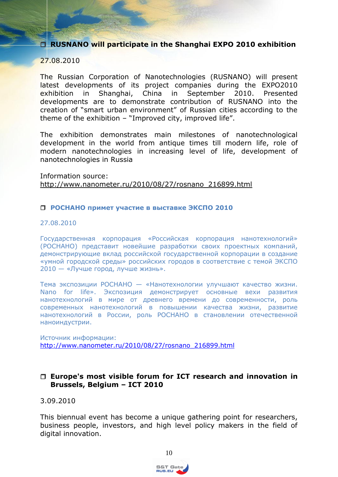<span id="page-9-0"></span>**RUSNANO will participate in the Shanghai EXPO 2010 exhibition**

## 27.08.2010

The Russian Corporation of Nanotechnologies (RUSNANO) will present latest developments of its project companies during the EXPO2010 exhibition in Shanghai, China in September 2010. Presented developments are to demonstrate contribution of RUSNANO into the creation of "smart urban environment" of Russian cities according to the theme of the exhibition – "Improved city, improved life".

The exhibition demonstrates main milestones of nanotechnological development in the world from antique times till modern life, role of modern nanotechnologies in increasing level of life, development of nanotechnologies in Russia

Information source: [http://www.nanometer.ru/2010/08/27/rosnano\\_216899.html](http://www.nanometer.ru/2010/08/27/rosnano_216899.html)

### <span id="page-9-1"></span>**РОСНАНО примет участие в выставке ЭКСПО 2010**

#### 27.08.2010

Государственная корпорация «Российская корпорация нанотехнологий» (РОСНАНО) представит новейшие разработки своих проектных компаний, демонстрирующие вклад российской государственной корпорации в создание «умной городской среды» российских городов в соответствие с темой ЭКСПО 2010 — «Лучше город, лучше жизнь».

Тема экспозиции РОСНАНО — «Нанотехнологии улучшают качество жизни. Nano for life». Экспозиция демонстрирует основные вехи развития нанотехнологий в мире от древнего времени до современности, роль современных нанотехнологий в повышении качества жизни, развитие нанотехнологий в России, роль РОСНАНО в становлении отечественной наноиндустрии.

Источник информации: [http://www.nanometer.ru/2010/08/27/rosnano\\_216899.html](http://www.nanometer.ru/2010/08/27/rosnano_216899.html)

## <span id="page-9-2"></span> **Europe's most visible forum for ICT research and innovation in Brussels, Belgium – ICT 2010**

### 3.09.2010

This biennual event has become a unique gathering point for researchers, business people, investors, and high level policy makers in the field of digital innovation.

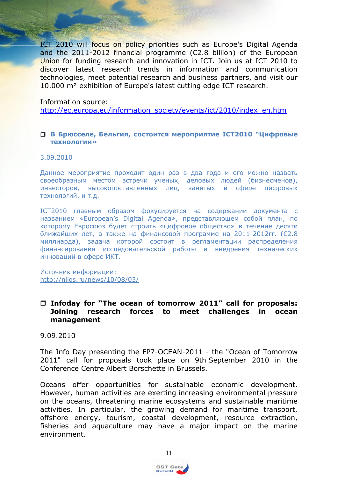ICT 2010 will focus on policy priorities such as Europe's Digital Agenda and the 2011-2012 financial programme (€2.8 billion) of the European Union for funding research and innovation in ICT. Join us at ICT 2010 to discover latest research trends in information and communication technologies, meet potential research and business partners, and visit our 10.000 m² exhibition of Europe's latest cutting edge ICT research.

#### Information source:

[http://ec.europa.eu/information\\_society/events/ict/2010/index\\_en.htm](http://ec.europa.eu/information_society/events/ict/2010/index_en.htm)

#### <span id="page-10-0"></span> **В Брюсселе, Бельгия, состоится мероприятие ICT2010 "Цифровые технологии»**

#### 3.09.2010

Данное мероприятие проходит один раз в два года и его можно назвать своеобразным местом встречи ученых, деловых людей (бизнесменов), инвесторов, высокопоставленных лиц, занятых в сфере цифровых технологий, и т.д.

ICT2010 главным образом фокусируется на содержании документа с названием «European's Digital Agenda», представляющем собой план, по которому Евросоюз будет строить «цифровое общество» в течение десяти ближайших лет, а также на финансовой программе на 2011-2012гг. (€2.8 миллиарда), задача которой состоит в регламентации распределения финансирования исследовательской работы и внедрения технических инноваций в сфере ИКТ.

Источник информации: <http://niios.ru/news/10/08/03/>

### <span id="page-10-1"></span> **Infoday for "The ocean of tomorrow 2011" call for proposals: Joining research forces to meet challenges in ocean management**

9.09.2010

The Info Day presenting the FP7-OCEAN-2011 - the "Ocean of Tomorrow 2011" call for proposals took place on 9th September 2010 in the Conference Centre Albert Borschette in Brussels.

Oceans offer opportunities for sustainable economic development. However, human activities are exerting increasing environmental pressure on the oceans, threatening marine ecosystems and sustainable maritime activities. In particular, the growing demand for maritime transport, offshore energy, tourism, coastal development, resource extraction, fisheries and aquaculture may have a major impact on the marine environment.

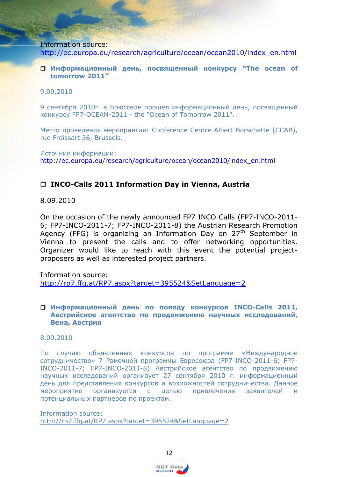Information source: [http://ec.europa.eu/research/agriculture/ocean/ocean2010/index\\_en.html](http://ec.europa.eu/research/agriculture/ocean/ocean2010/index_en.html)

### <span id="page-11-0"></span> **Информационный день, посвященный конкурсу "The ocean of tomorrow 2011"**

### 9.09.2010

9 сентября 2010г. в Брюсселе прошел информационный день, посвященный конкурсу FP7-OCEAN-2011 - the "Ocean of Tomorrow 2011".

Место проведения мероприятия: Conference Centre Albert Borschette (CCAB), rue Froissart 36, Brussels.

Источник информации: [http://ec.europa.eu/research/agriculture/ocean/ocean2010/index\\_en.html](http://ec.europa.eu/research/agriculture/ocean/ocean2010/index_en.html)

## <span id="page-11-1"></span>**INCO-Calls 2011 Information Day in Vienna, Austria**

8.09.2010

On the occasion of the newly announced FP7 INCO Calls (FP7-INCO-2011- 6; FP7-INCO-2011-7; FP7-INCO-2011-8) the Austrian Research Promotion Agency (FFG) is organizing an Information Day on 27<sup>th</sup> September in Vienna to present the calls and to offer networking opportunities. Organizer would like to reach with this event the potential projectproposers as well as interested project partners.

<span id="page-11-2"></span>Information source: <http://rp7.ffg.at/RP7.aspx?target=395524&SetLanguage=2>

#### <span id="page-11-3"></span> **Информационный день по поводу конкурсов INCO-Calls 2011, Австрийское агентство по продвижению научных исследований, Вена, Австрия**

### 8.09.2010

По случаю объявленных конкурсов по программе «Международное сотрудничество» 7 Рамочной программы Евросоюза (FP7-INCO-2011-6; FP7- INCO-2011-7; FP7-INCO-2011-8) Австрийское агентство по продвижению научных исследований организует 27 сентября 2010 г. информационный день для представления конкурсов и возможностей сотрудничества. Данное мероприятие организуется с целью привлечения заявителей и потенциальных партнеров по проектам.

Information source: <http://rp7.ffg.at/RP7.aspx?target=395524&SetLanguage=2>

RUS.EU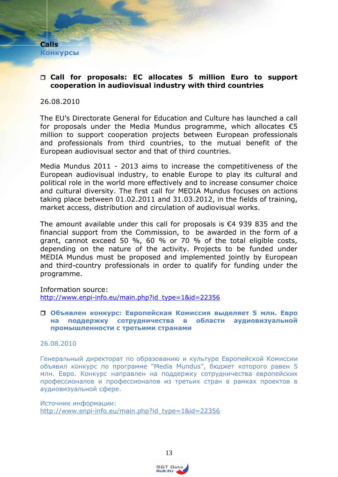<span id="page-12-1"></span><span id="page-12-0"></span>**Calls Конкурсы**

## <span id="page-12-2"></span> **Call for proposals: EC allocates 5 million Euro to support cooperation in audiovisual industry with third countries**

#### 26.08.2010

The EU's Directorate General for Education and Culture has launched a call for proposals under the Media Mundus programme, which allocates  $\epsilon$ 5 million to support cooperation projects between European professionals and professionals from third countries, to the mutual benefit of the European audiovisual sector and that of third countries.

Media Mundus 2011 - 2013 aims to increase the competitiveness of the European audiovisual industry, to enable Europe to play its cultural and political role in the world more effectively and to increase consumer choice and cultural diversity. The first call for MEDIA Mundus focuses on actions taking place between 01.02.2011 and 31.03.2012, in the fields of training, market access, distribution and circulation of audiovisual works.

The amount available under this call for proposals is €4 939 835 and the financial support from the Commission, to be awarded in the form of a grant, cannot exceed 50 %, 60 % or 70 % of the total eligible costs, depending on the nature of the activity. Projects to be funded under MEDIA Mundus must be proposed and implemented jointly by European and third-country professionals in order to qualify for funding under the programme.

Information source: [http://www.enpi-info.eu/main.php?id\\_type=1&id=22356](http://www.enpi-info.eu/main.php?id_type=1&id=22356)

### <span id="page-12-3"></span> **Объявлен конкурс: Европейская Комиссия выделяет 5 млн. Евро на поддержку сотрудничества в области аудиовизуальной промышленности с третьими странами**

#### 26.08.2010

Генеральный директорат по образованию и культуре Европейской Комиссии объявил конкурс по программе "Media Mundus", бюджет которого равен 5 млн. Евро. Конкурс направлен на поддержку сотрудничества европейских профессионалов и профессионалов из третьих стран в рамках проектов в аудиовизуальной сфере.

Источник информации: [http://www.enpi-info.eu/main.php?id\\_type=1&id=22356](http://www.enpi-info.eu/main.php?id_type=1&id=22356)

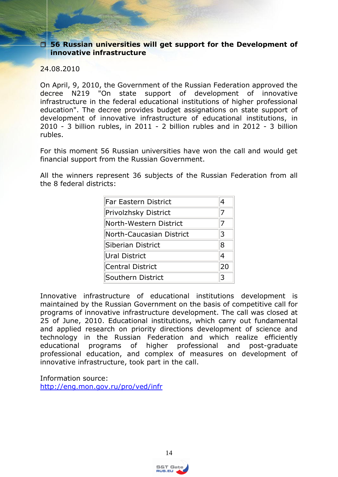<span id="page-13-0"></span> **56 Russian universities will get support for the Development of innovative infrastructure**

24.08.2010

On April, 9, 2010, the Government of the Russian Federation approved the decree N219 "On state support of development of innovative infrastructure in the federal educational institutions of higher professional education". The decree provides budget assignations on state support of development of innovative infrastructure of educational institutions, in 2010 - 3 billion rubles, in 2011 - 2 billion rubles and in 2012 - 3 billion rubles.

For this moment 56 Russian universities have won the call and would get financial support from the Russian Government.

All the winners represent 36 subjects of the Russian Federation from all the 8 federal districts:

| <b>Far Eastern District</b> | 4              |
|-----------------------------|----------------|
| Privolzhsky District        | 7              |
| North-Western District      | 7              |
| North-Caucasian District    | 3              |
| Siberian District           | 8              |
| Ural District               | $\overline{4}$ |
| Central District            | 20             |
| Southern District           | 3              |

Innovative infrastructure of educational institutions development is maintained by the Russian Government on the basis of competitive call for programs of innovative infrastructure development. The call was closed at 25 of June, 2010. Educational institutions, which carry out fundamental and applied research on priority directions development of science and technology in the Russian Federation and which realize efficiently educational programs of higher professional and post-graduate professional education, and complex of measures on development of innovative infrastructure, took part in the call.

Information source: <http://eng.mon.gov.ru/pro/ved/infr>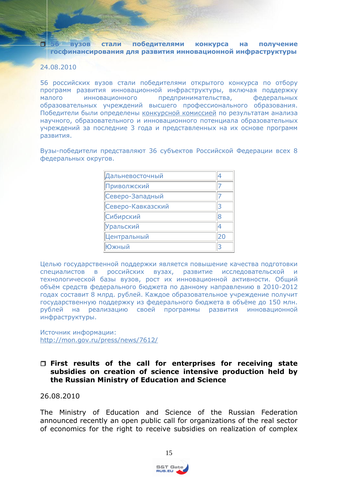<span id="page-14-0"></span> **56 вузов стали победителями конкурса на получение госфинансирования для развития инновационной инфраструктуры**

### 24.08.2010

56 российских вузов стали победителями открытого конкурса по отбору программ развития инновационной инфраструктуры, включая поддержку малого инновационного предпринимательства, федеральных образовательных учреждений высшего профессионального образования. Победители были определены [конкурсной комиссией](http://mon.gov.ru/pro/ved/infr/10.07.02-konk.komiss.pdf) по результатам анализа научного, образовательного и инновационного потенциала образовательных учреждений за последние 3 года и представленных на их основе программ развития.

Вузы-победители представляют 36 субъектов Российской Федерации всех 8 федеральных округов.

| Дальневосточный    |    |
|--------------------|----|
| Приволжский        |    |
| Северо-Западный    |    |
| Северо-Кавказский  | 3  |
| Сибирский          |    |
| Уральский          |    |
| <b>Дентральный</b> | 20 |
| )жный              |    |
|                    |    |

Целью государственной поддержки является повышение качества подготовки специалистов в российских вузах, развитие исследовательской технологической базы вузов, рост их инновационной активности. Общий объѐм средств федерального бюджета по данному направлению в 2010-2012 годах составит 8 млрд. рублей. Каждое образовательное учреждение получит государственную поддержку из федерального бюджета в объѐме до 150 млн. рублей на реализацию своей программы развития инновационной инфраструктуры.

Источник информации: <http://mon.gov.ru/press/news/7612/>

## <span id="page-14-1"></span> **First results of the call for enterprises for receiving state subsidies on creation of science intensive production held by the Russian Ministry of Education and Science**

26.08.2010

The Ministry of Education and Science of the Russian Federation announced recently an open public call for organizations of the real sector of economics for the right to receive subsidies on realization of complex

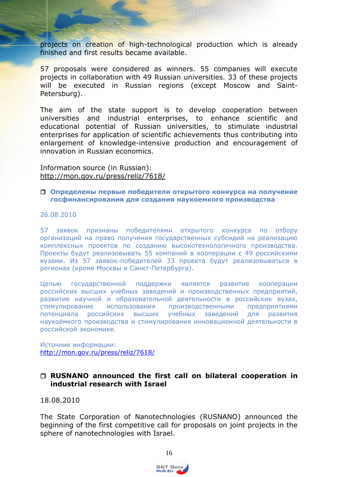projects on creation of high-technological production which is already finished and first results became available.

57 proposals were considered as winners. 55 companies will execute projects in collaboration with 49 Russian universities. 33 of these projects will be executed in Russian regions (except Moscow and Saint-Petersburg).

The aim of the state support is to develop cooperation between universities and industrial enterprises, to enhance scientific and educational potential of Russian universities, to stimulate industrial enterprises for application of scientific achievements thus contributing into enlargement of knowledge-intensive production and encouragement of innovation in Russian economics.

Information source (in Russian): <http://mon.gov.ru/press/reliz/7618/>

#### <span id="page-15-0"></span> **Определены первые победители открытого конкурса на получение госфинансирования для создания наукоемкого производства**

#### 26.08.2010

57 заявок признаны победителями открытого конкурса по отбору организаций на право получения государственных субсидий на реализацию комплексных проектов по созданию высокотехнологичного производства. Проекты будут реализовывать 55 компаний в кооперации с 49 российскими вузами. Из 57 заявок-победителей 33 проекта будут реализовываться в регионах (кроме Москвы и Санкт-Петербурга).

Целью государственной поддержки является развитие кооперации российских высших учебных заведений и производственных предприятий, развитие научной и образовательной деятельности в российских вузах, стимулирование использования производственными предприятиями потенциала российских высших учебных заведений для развития наукоѐмкого производства и стимулирования инновационной деятельности в российской экономике.

Источник информации: <http://mon.gov.ru/press/reliz/7618/>

### <span id="page-15-1"></span> **RUSNANO announced the first call on bilateral cooperation in industrial research with Israel**

18.08.2010

The State Corporation of Nanotechnologies (RUSNANO) announced the beginning of the first competitive call for proposals on joint projects in the sphere of nanotechnologies with Israel.



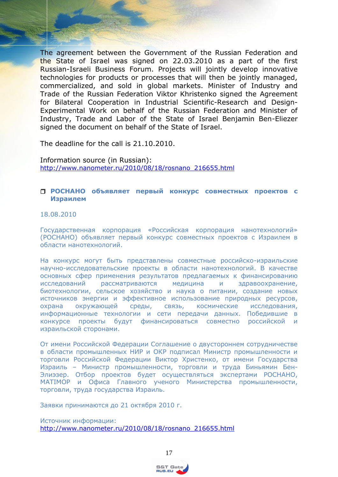The agreement between the Government of the Russian Federation and the State of Israel was signed on 22.03.2010 as a part of the first Russian-Israeli Business Forum. Projects will jointly develop innovative technologies for products or processes that will then be jointly managed, commercialized, and sold in global markets. Minister of Industry and Trade of the Russian Federation Viktor Khristenko signed the Agreement for Bilateral Cooperation in Industrial Scientific-Research and Design-Experimental Work on behalf of the Russian Federation and Minister of Industry, Trade and Labor of the State of Israel Benjamin Ben-Eliezer signed the document on behalf of the State of Israel.

The deadline for the call is 21.10.2010.

Information source (in Russian): [http://www.nanometer.ru/2010/08/18/rosnano\\_216655.html](http://www.nanometer.ru/2010/08/18/rosnano_216655.html)

#### <span id="page-16-0"></span> **РОСНАНО объявляет первый конкурс совместных проектов с Израилем**

### 18.08.2010

Государственная корпорация «Российская корпорация нанотехнологий» (РОСНАНО) объявляет первый конкурс совместных проектов с Израилем в области нанотехнологий.

На конкурс могут быть представлены совместные российско-израильские научно-исследовательские проекты в области нанотехнологий. В качестве основных сфер применения результатов предлагаемых к финансированию исследований рассматриваются медицина и здравоохранение, биотехнологии, сельское хозяйство и наука о питании, создание новых источников энергии и эффективное использование природных ресурсов, охрана окружающей среды, связь, космические исследования, информационные технологии и сети передачи данных. Победившие в конкурсе проекты будут финансироваться совместно российской и израильской сторонами.

От имени Российской Федерации Соглашение о двустороннем сотрудничестве в области промышленных НИР и ОКР подписал Министр промышленности и торговли Российской Федерации Виктор Христенко, от имени Государства Израиль – Министр промышленности, торговли и труда Биньямин Бен-Элиэзер. Отбор проектов будет осуществляться экспертами РОСНАНО, MATIMOP и Офиса Главного ученого Министерства промышленности, торговли, труда государства Израиль.

Заявки принимаются до 21 октября 2010 г.

Источник информации: [http://www.nanometer.ru/2010/08/18/rosnano\\_216655.html](http://www.nanometer.ru/2010/08/18/rosnano_216655.html)

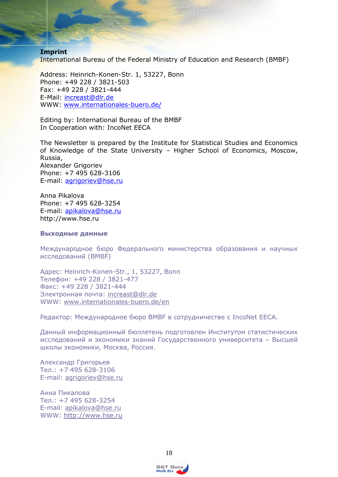#### **Imprint**

International Bureau of the Federal Ministry of Education and Research (BMBF)

Address: Heinrich-Konen-Str. 1, 53227, Bonn Phone: +49 228 / 3821-503 Fax: +49 228 / 3821-444 E-Mail: [increast@dlr.de](mailto:increast@dlr.de) WWW: [www.internationales-buero.de/](http://www.internationales-buero.de/)

Editing by: International Bureau of the BMBF In Cooperation with: IncoNet EECA

The Newsletter is prepared by the Institute for Statistical Studies and Economics of Knowledge of the State University – Higher School of Economics, Moscow, Russia, Alexander Grigoriev Phone: +7 495 628-3106 E-mail: [agrigoriev@hse.ru](mailto:agrigoriev@hse.ru)

Anna Pikalova Phone: +7 495 628-3254 E-mail: [apikalova@hse.ru](mailto:apikalova@hse.ru) http://www.hse.ru

#### **Выходные данные**

Международное бюро Федерального министерства образования и научных исследований (BMBF)

Адрес: Heinrich-Konen-Str., 1, 53227, Bonn Телефон: +49 228 / 3821-477 Факс: +49 228 / 3821-444 Электронная почта: [increast@dlr.de](mailto:increast@dlr.de) WWW: [www.internationales-buero.de/en](http://www.internationales-buero.de/en)

Редактор: Международное бюро BMBF в сотрудничестве с IncoNet EECA.

Данный информационный бюллетень подготовлен Институтом статистических исследований и экономики знаний Государственного университета – Высшей школы экономики, Москва, Россия.

Александр Григорьев Тел.: +7 495 628-3106 E-mail: [agrigoriev@hse.ru](mailto:agrigoriev@hse.ru)

Анна Пикалова Тел.: +7 495 628-3254 E-mail: [apikalova@hse.ru](mailto:apikalova@hse.ru) WWW: [http://www.hse.ru](http://www.hse.ru/)